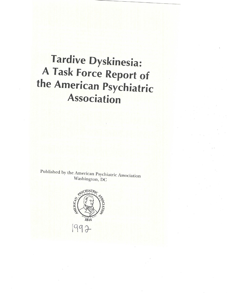## **Tardive Dyskinesia: A Task Force Report of the American Psychiatric Association**

Published by the American Psychiatric Association Washington, DC

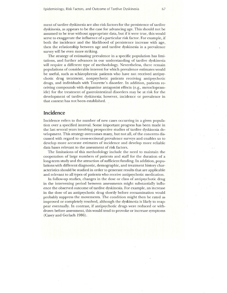ment of tardive dyskinesia are also risk factors for the persistence of tardive dyskinesia, as appears to be the case for advancing age. This should not be assumed to be true without appropriate data, but if it were true, this would serve to exaggerate the influence of a particular risk factor. For example, if both the incidence and the likelihood of persistence increase with age, then the relationship between age and tardive dyskinesia in a prevalence survey will be even more striking.

The strategy of estimating prevalence in a specific population has limitations, and further advances in our understanding of tardive dyskinesia will require a different type of methodology. Nevertheless, there remain populations of considerable interest for which prevalence estimates would be useful, such as schizophrenic patients who have not received antipsychotic drug treatment, non psychotic patients receiving antipsychotic drugs, and individuals with Tourette's disorder. In addition, patients receiving compounds with dopamine antagonist effects (e.g., metoclopramide) for the treatment of gastrointestinal disorders may be at risk for the development of tardive dyskinesia; however, incidence or prevalence in that context has not been established.

## **Incidence**

Incidence refers to the number of new cases occurring in a given population over a specified interval. Some important progress has been made in the last several years involving prospective studies of tardive dyskinesia development. This strategy overcomes many, but not all. of the concerns discussed with regard to cross-sectional prevalence surveys and enables us to develop more accurate estimates of incidence and develop more reliable data bases relevant to the assessment of risk factors.

The limitations of this methodology include the need to maintain the cooperation of large numbers of patients and staff for the duration of a long-term study and the attraction of sufficient funding. In addition, populations with different diagnostic, demographic, and treatment history characteristics should be studied in order to generate results that are applicable and relevant to all types of patients who receive antipsychotic medication.

In follow-up studies, changes in the dose or class of antipsychotic drug in the intervening period between assessments might substantially influence the observed outcome of tardive dyskinesia. For example, an increase in the dose of an antipsychotic drug shortly before reexamination would probably suppress the movements. The condition might then be rated as improved or completely resolved, although the dyskinesia is likely to reappear eventually. In contrast, if antipsychotic drugs were reduced or withdrawn before assessment, this would tend to provoke or increase symptoms (Casey and Gerlach 1986).